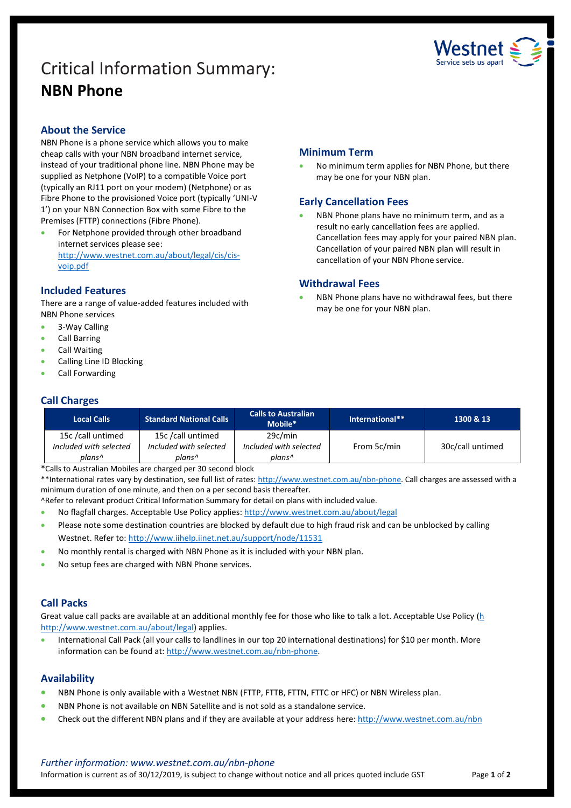# Critical Information Summary: **NBN Phone**



# **About the Service**

NBN Phone is a phone service which allows you to make cheap calls with your NBN broadband internet service, instead of your traditional phone line. NBN Phone may be supplied as Netphone (VoIP) to a compatible Voice port (typically an RJ11 port on your modem) (Netphone) or as Fibre Phone to the provisioned Voice port (typically 'UNI-V 1') on your NBN Connection Box with some Fibre to the Premises (FTTP) connections (Fibre Phone).

 For Netphone provided through other broadband internet services please see: http://www.westnet.com.au/about/legal/cis/cisvoip.pdf

# **Included Features**

There are a range of value-added features included with NBN Phone services

- 3-Way Calling
- Call Barring
- Call Waiting
- Calling Line ID Blocking
- Call Forwarding

# **Call Charges**

| <b>Local Calls</b>     | <b>Standard National Calls</b> | <b>Calls to Australian</b><br>Mobile* | International** | 1300 & 13        |
|------------------------|--------------------------------|---------------------------------------|-----------------|------------------|
| 15c /call untimed      | 15c /call untimed              | 29c/min                               |                 |                  |
| Included with selected | Included with selected         | Included with selected                | From 5c/min     | 30c/call untimed |
| plans^                 | plans^                         | plans^                                |                 |                  |

**Minimum Term**

**Withdrawal Fees**

No minimum term applies for NBN Phone, but there

 NBN Phone plans have no minimum term, and as a result no early cancellation fees are applied.

cancellation of your NBN Phone service.

Cancellation fees may apply for your paired NBN plan. Cancellation of your paired NBN plan will result in

NBN Phone plans have no withdrawal fees, but there

may be one for your NBN plan.

may be one for your NBN plan.

**Early Cancellation Fees**

\*Calls to Australian Mobiles are charged per 30 second block

\*\*International rates vary by destination, see full list of rates: http://www.westnet.com.au/nbn-phone. Call charges are assessed with a minimum duration of one minute, and then on a per second basis thereafter.

^Refer to relevant product Critical Information Summary for detail on plans with included value.

- No flagfall charges. Acceptable Use Policy applies: http://www.westnet.com.au/about/legal
- Please note some destination countries are blocked by default due to high fraud risk and can be unblocked by calling Westnet. Refer to: http://www.iihelp.iinet.net.au/support/node/11531
- No monthly rental is charged with NBN Phone as it is included with your NBN plan.
- No setup fees are charged with NBN Phone services.

### **Call Packs**

Great value call packs are available at an additional monthly fee for those who like to talk a lot. Acceptable Use Policy [\(h](https://assets.iinet.net.au/website/about/legal/cra/iinet-group-acceptable-use-policy-v1.pdf) [http://www.westnet.com.au/about/legal\)](https://assets.iinet.net.au/website/about/legal/cra/iinet-group-acceptable-use-policy-v1.pdf) applies.

 International Call Pack (all your calls to landlines in our top 20 international destinations) for \$10 per month. More information can be found at: http://www.westnet.com.au/nbn-phone.

### **Availability**

- NBN Phone is only available with a Westnet NBN (FTTP, FTTB, FTTN, FTTC or HFC) or NBN Wireless plan.
- NBN Phone is not available on NBN Satellite and is not sold as a standalone service.
- Check out the different NBN plans and if they are available at your address here:<http://www.westnet.com.au/nbn>